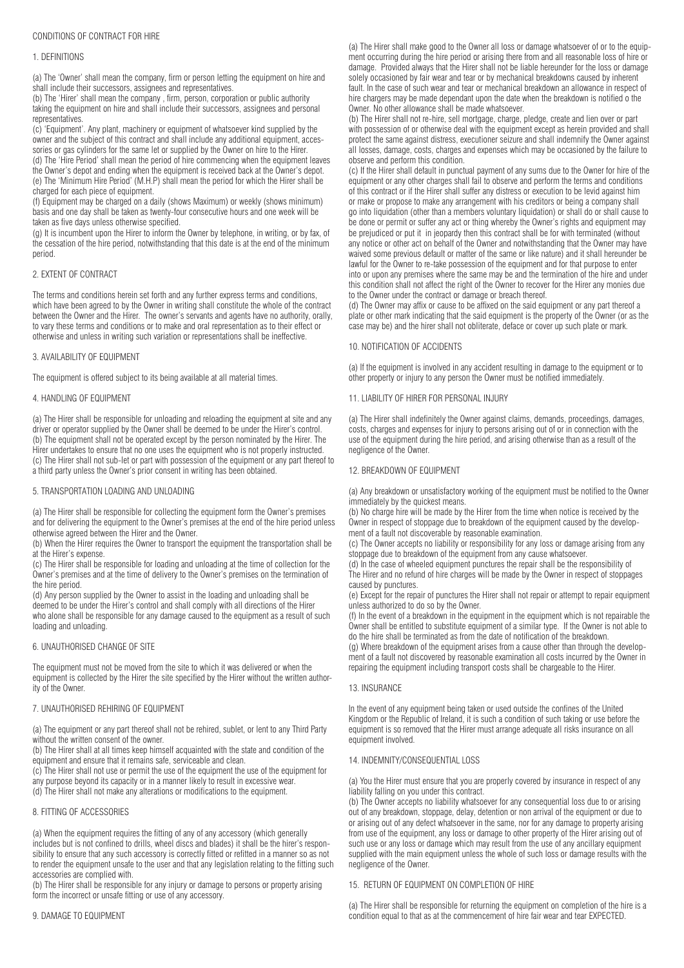#### 1. DEFINITIONS

(a) The 'Owner' shall mean the company, firm or person letting the equipment on hire and shall include their successors, assignees and representatives.

(b) The 'Hirer' shall mean the company , firm, person, corporation or public authority taking the equipment on hire and shall include their successors, assignees and personal representatives.

(c) 'Equipment'. Any plant, machinery or equipment of whatsoever kind supplied by the owner and the subject of this contract and shall include any additional equipment, accessories or gas cylinders for the same let or supplied by the Owner on hire to the Hirer. (d) The 'Hire Period' shall mean the period of hire commencing when the equipment leaves the Owner's depot and ending when the equipment is received back at the Owner's depot. (e) The 'Minimum Hire Period' (M.H.P) shall mean the period for which the Hirer shall be charged for each piece of equipment.

(f) Equipment may be charged on a daily (shows Maximum) or weekly (shows minimum) basis and one day shall be taken as twenty-four consecutive hours and one week will be taken as five days unless otherwise specified.

(g) It is incumbent upon the Hirer to inform the Owner by telephone, in writing, or by fax, of the cessation of the hire period, notwithstanding that this date is at the end of the minimum period.

#### 2. EXTENT OF CONTRACT

The terms and conditions herein set forth and any further express terms and conditions, which have been agreed to by the Owner in writing shall constitute the whole of the contract between the Owner and the Hirer. The owner's servants and agents have no authority, orally, to vary these terms and conditions or to make and oral representation as to their effect or otherwise and unless in writing such variation or representations shall be ineffective.

## 3. AVAILABILITY OF EQUIPMENT

The equipment is offered subject to its being available at all material times.

#### 4. HANDLING OF EQUIPMENT

(a) The Hirer shall be responsible for unloading and reloading the equipment at site and any driver or operator supplied by the Owner shall be deemed to be under the Hirer's control. (b) The equipment shall not be operated except by the person nominated by the Hirer. The Hirer undertakes to ensure that no one uses the equipment who is not properly instructed. (c) The Hirer shall not sub-let or part with possession of the equipment or any part thereof to a third party unless the Owner's prior consent in writing has been obtained.

#### 5. TRANSPORTATION LOADING AND UNLOADING

(a) The Hirer shall be responsible for collecting the equipment form the Owner's premises and for delivering the equipment to the Owner's premises at the end of the hire period unless otherwise agreed between the Hirer and the Owner.

(b) When the Hirer requires the Owner to transport the equipment the transportation shall be at the Hirer's expense.

(c) The Hirer shall be responsible for loading and unloading at the time of collection for the Owner's premises and at the time of delivery to the Owner's premises on the termination of the hire period.

(d) Any person supplied by the Owner to assist in the loading and unloading shall be deemed to be under the Hirer's control and shall comply with all directions of the Hirer who alone shall be responsible for any damage caused to the equipment as a result of such loading and unloading.

# 6. UNAUTHORISED CHANGE OF SITE

The equipment must not be moved from the site to which it was delivered or when the equipment is collected by the Hirer the site specified by the Hirer without the written authority of the Owner.

#### 7. UNAUTHORISED REHIRING OF EQUIPMENT

(a) The equipment or any part thereof shall not be rehired, sublet, or lent to any Third Party without the written consent of the owner.

(b) The Hirer shall at all times keep himself acquainted with the state and condition of the equipment and ensure that it remains safe, serviceable and clean.

(c) The Hirer shall not use or permit the use of the equipment the use of the equipment for any purpose beyond its capacity or in a manner likely to result in excessive wear.

(d) The Hirer shall not make any alterations or modifications to the equipment.

#### 8. FITTING OF ACCESSORIES

(a) When the equipment requires the fitting of any of any accessory (which generally includes but is not confined to drills, wheel discs and blades) it shall be the hirer's responsibility to ensure that any such accessory is correctly fitted or refitted in a manner so as not to render the equipment unsafe to the user and that any legislation relating to the fitting such accessories are complied with.

(b) The Hirer shall be responsible for any injury or damage to persons or property arising form the incorrect or unsafe fitting or use of any accessory.

#### 9. DAMAGE TO FOLLIPMENT

(a) The Hirer shall make good to the Owner all loss or damage whatsoever of or to the equipment occurring during the hire period or arising there from and all reasonable loss of hire or damage. Provided always that the Hirer shall not be liable hereunder for the loss or damage solely occasioned by fair wear and tear or by mechanical breakdowns caused by inherent fault. In the case of such wear and tear or mechanical breakdown an allowance in respect of hire chargers may be made dependant upon the date when the breakdown is notified o the Owner. No other allowance shall be made whatsoever.

(b) The Hirer shall not re-hire, sell mortgage, charge, pledge, create and lien over or part with possession of or otherwise deal with the equipment except as herein provided and shall protect the same against distress, executioner seizure and shall indemnify the Owner against all losses, damage, costs, charges and expenses which may be occasioned by the failure to observe and perform this condition.

(c) If the Hirer shall default in punctual payment of any sums due to the Owner for hire of the equipment or any other charges shall fail to observe and perform the terms and conditions of this contract or if the Hirer shall suffer any distress or execution to be levid against him or make or propose to make any arrangement with his creditors or being a company shall go into liquidation (other than a members voluntary liquidation) or shall do or shall cause to be done or permit or suffer any act or thing whereby the Owner's rights and equipment may be prejudiced or put it in jeopardy then this contract shall be for with terminated (without any notice or other act on behalf of the Owner and notwithstanding that the Owner may have waived some previous default or matter of the same or like nature) and it shall hereunder be lawful for the Owner to re-take possession of the equipment and for that purpose to enter into or upon any premises where the same may be and the termination of the hire and under this condition shall not affect the right of the Owner to recover for the Hirer any monies due to the Owner under the contract or damage or breach thereof.

(d) The Owner may affix or cause to be affixed on the said equipment or any part thereof a plate or other mark indicating that the said equipment is the property of the Owner (or as the case may be) and the hirer shall not obliterate, deface or cover up such plate or mark.

## 10. NOTIFICATION OF ACCIDENTS

(a) If the equipment is involved in any accident resulting in damage to the equipment or to other property or injury to any person the Owner must be notified immediately.

## 11. LIABILITY OF HIRER FOR PERSONAL INJURY

(a) The Hirer shall indefinitely the Owner against claims, demands, proceedings, damages, costs, charges and expenses for injury to persons arising out of or in connection with the use of the equipment during the hire period, and arising otherwise than as a result of the negligence of the Owner.

#### 12. BREAKDOWN OF EQUIPMENT

(a) Any breakdown or unsatisfactory working of the equipment must be notified to the Owner immediately by the quickest means.

(b) No charge hire will be made by the Hirer from the time when notice is received by the Owner in respect of stoppage due to breakdown of the equipment caused by the development of a fault not discoverable by reasonable examination.

(c) The Owner accepts no liability or responsibility for any loss or damage arising from any stoppage due to breakdown of the equipment from any cause whatsoever.

(d) In the case of wheeled equipment punctures the repair shall be the responsibility of The Hirer and no refund of hire charges will be made by the Owner in respect of stoppages caused by punctures.

(e) Except for the repair of punctures the Hirer shall not repair or attempt to repair equipment unless authorized to do so by the Owner.

(f) In the event of a breakdown in the equipment in the equipment which is not repairable the Owner shall be entitled to substitute equipment of a similar type. If the Owner is not able to do the hire shall be terminated as from the date of notification of the breakdown.

(g) Where breakdown of the equipment arises from a cause other than through the development of a fault not discovered by reasonable examination all costs incurred by the Owner in repairing the equipment including transport costs shall be chargeable to the Hirer.

# 13. INSURANCE

In the event of any equipment being taken or used outside the confines of the United Kingdom or the Republic of Ireland, it is such a condition of such taking or use before the equipment is so removed that the Hirer must arrange adequate all risks insurance on all equipment involved.

# 14. INDEMNITY/CONSEQUENTIAL LOSS

(a) You the Hirer must ensure that you are properly covered by insurance in respect of any liability falling on you under this contract.

(b) The Owner accepts no liability whatsoever for any consequential loss due to or arising out of any breakdown, stoppage, delay, detention or non arrival of the equipment or due to or arising out of any defect whatsoever in the same, nor for any damage to property arising from use of the equipment, any loss or damage to other property of the Hirer arising out of such use or any loss or damage which may result from the use of any ancillary equipment supplied with the main equipment unless the whole of such loss or damage results with the negligence of the Owner.

#### 15. RETURN OF EQUIPMENT ON COMPLETION OF HIRE

(a) The Hirer shall be responsible for returning the equipment on completion of the hire is a condition equal to that as at the commencement of hire fair wear and tear EXPECTED.